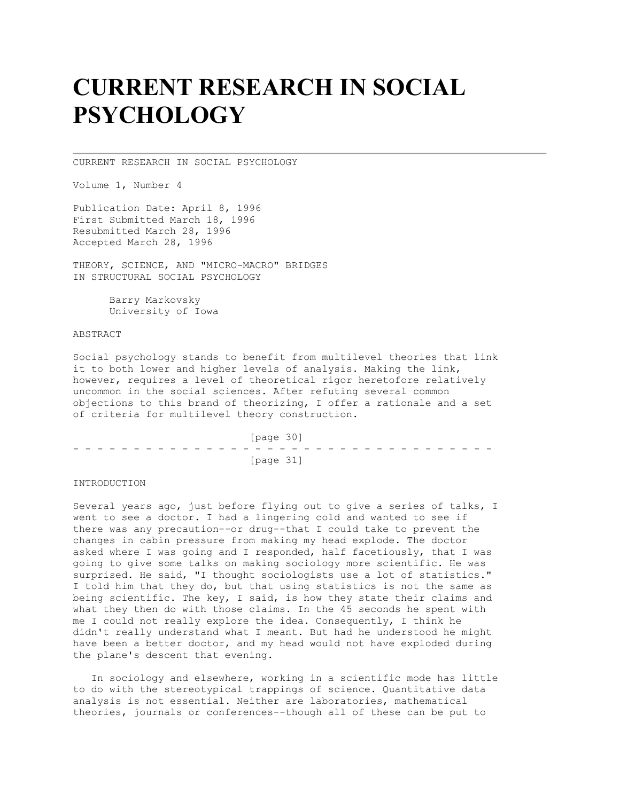# **CURRENT RESEARCH IN SOCIAL PSYCHOLOGY**

CURRENT RESEARCH IN SOCIAL PSYCHOLOGY

Volume 1, Number 4

Publication Date: April 8, 1996 First Submitted March 18, 1996 Resubmitted March 28, 1996 Accepted March 28, 1996

THEORY, SCIENCE, AND "MICRO-MACRO" BRIDGES IN STRUCTURAL SOCIAL PSYCHOLOGY

> Barry Markovsky University of Iowa

ABSTRACT

Social psychology stands to benefit from multilevel theories that link it to both lower and higher levels of analysis. Making the link, however, requires a level of theoretical rigor heretofore relatively uncommon in the social sciences. After refuting several common objections to this brand of theorizing, I offer a rationale and a set of criteria for multilevel theory construction.

 [page 30] - - - - - - - - - - - - - - - - - - - - - - - - - - - - - - - - - - - [page 31]

INTRODUCTION

Several years ago, just before flying out to give a series of talks, I went to see a doctor. I had a lingering cold and wanted to see if there was any precaution--or drug--that I could take to prevent the changes in cabin pressure from making my head explode. The doctor asked where I was going and I responded, half facetiously, that I was going to give some talks on making sociology more scientific. He was surprised. He said, "I thought sociologists use a lot of statistics." I told him that they do, but that using statistics is not the same as being scientific. The key, I said, is how they state their claims and what they then do with those claims. In the 45 seconds he spent with me I could not really explore the idea. Consequently, I think he didn't really understand what I meant. But had he understood he might have been a better doctor, and my head would not have exploded during the plane's descent that evening.

 In sociology and elsewhere, working in a scientific mode has little to do with the stereotypical trappings of science. Quantitative data analysis is not essential. Neither are laboratories, mathematical theories, journals or conferences--though all of these can be put to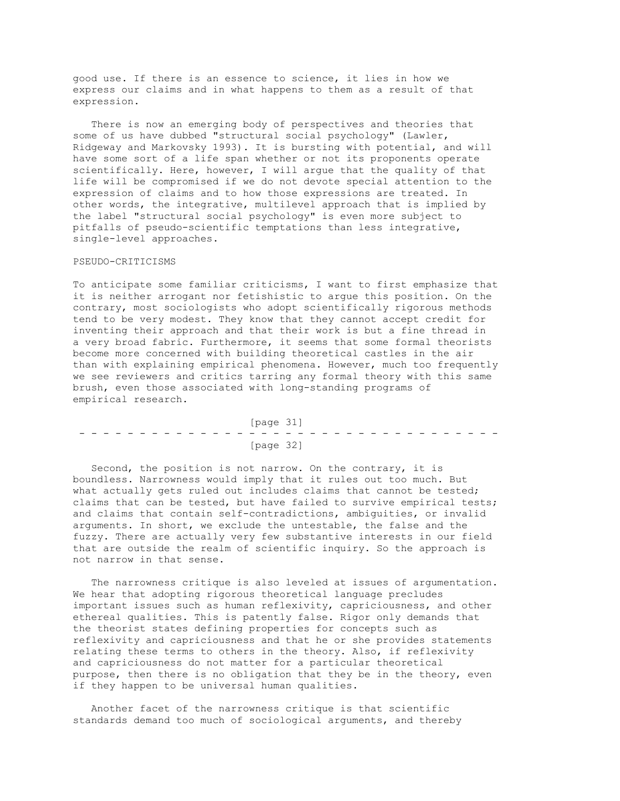good use. If there is an essence to science, it lies in how we express our claims and in what happens to them as a result of that expression.

 There is now an emerging body of perspectives and theories that some of us have dubbed "structural social psychology" (Lawler, Ridgeway and Markovsky 1993). It is bursting with potential, and will have some sort of a life span whether or not its proponents operate scientifically. Here, however, I will argue that the quality of that life will be compromised if we do not devote special attention to the expression of claims and to how those expressions are treated. In other words, the integrative, multilevel approach that is implied by the label "structural social psychology" is even more subject to pitfalls of pseudo-scientific temptations than less integrative, single-level approaches.

## PSEUDO-CRITICISMS

To anticipate some familiar criticisms, I want to first emphasize that it is neither arrogant nor fetishistic to argue this position. On the contrary, most sociologists who adopt scientifically rigorous methods tend to be very modest. They know that they cannot accept credit for inventing their approach and that their work is but a fine thread in a very broad fabric. Furthermore, it seems that some formal theorists become more concerned with building theoretical castles in the air than with explaining empirical phenomena. However, much too frequently we see reviewers and critics tarring any formal theory with this same brush, even those associated with long-standing programs of empirical research.

|  | [page 31] |  |  |  |  |  |  |  |  |  |  |  |           |  |  |  |  |  |  |  |  |  |  |  |  |  |  |  |
|--|-----------|--|--|--|--|--|--|--|--|--|--|--|-----------|--|--|--|--|--|--|--|--|--|--|--|--|--|--|--|
|  |           |  |  |  |  |  |  |  |  |  |  |  |           |  |  |  |  |  |  |  |  |  |  |  |  |  |  |  |
|  |           |  |  |  |  |  |  |  |  |  |  |  | [page 32] |  |  |  |  |  |  |  |  |  |  |  |  |  |  |  |

 Second, the position is not narrow. On the contrary, it is boundless. Narrowness would imply that it rules out too much. But what actually gets ruled out includes claims that cannot be tested; claims that can be tested, but have failed to survive empirical tests; and claims that contain self-contradictions, ambiguities, or invalid arguments. In short, we exclude the untestable, the false and the fuzzy. There are actually very few substantive interests in our field that are outside the realm of scientific inquiry. So the approach is not narrow in that sense.

 The narrowness critique is also leveled at issues of argumentation. We hear that adopting rigorous theoretical language precludes important issues such as human reflexivity, capriciousness, and other ethereal qualities. This is patently false. Rigor only demands that the theorist states defining properties for concepts such as reflexivity and capriciousness and that he or she provides statements relating these terms to others in the theory. Also, if reflexivity and capriciousness do not matter for a particular theoretical purpose, then there is no obligation that they be in the theory, even if they happen to be universal human qualities.

 Another facet of the narrowness critique is that scientific standards demand too much of sociological arguments, and thereby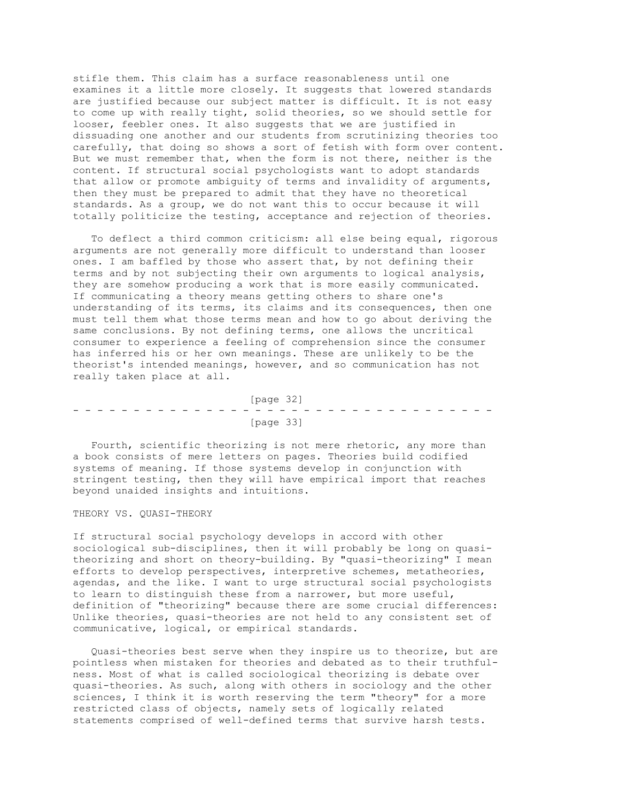stifle them. This claim has a surface reasonableness until one examines it a little more closely. It suggests that lowered standards are justified because our subject matter is difficult. It is not easy to come up with really tight, solid theories, so we should settle for looser, feebler ones. It also suggests that we are justified in dissuading one another and our students from scrutinizing theories too carefully, that doing so shows a sort of fetish with form over content. But we must remember that, when the form is not there, neither is the content. If structural social psychologists want to adopt standards that allow or promote ambiguity of terms and invalidity of arguments, then they must be prepared to admit that they have no theoretical standards. As a group, we do not want this to occur because it will totally politicize the testing, acceptance and rejection of theories.

 To deflect a third common criticism: all else being equal, rigorous arguments are not generally more difficult to understand than looser ones. I am baffled by those who assert that, by not defining their terms and by not subjecting their own arguments to logical analysis, they are somehow producing a work that is more easily communicated. If communicating a theory means getting others to share one's understanding of its terms, its claims and its consequences, then one must tell them what those terms mean and how to go about deriving the same conclusions. By not defining terms, one allows the uncritical consumer to experience a feeling of comprehension since the consumer has inferred his or her own meanings. These are unlikely to be the theorist's intended meanings, however, and so communication has not really taken place at all.

 [page 32] - - - - - - - - - - - - - - - - - - - - - - - - - - - - - - - - - - - [page 33]

 Fourth, scientific theorizing is not mere rhetoric, any more than a book consists of mere letters on pages. Theories build codified systems of meaning. If those systems develop in conjunction with stringent testing, then they will have empirical import that reaches beyond unaided insights and intuitions.

## THEORY VS. OUASI-THEORY

If structural social psychology develops in accord with other sociological sub-disciplines, then it will probably be long on quasitheorizing and short on theory-building. By "quasi-theorizing" I mean efforts to develop perspectives, interpretive schemes, metatheories, agendas, and the like. I want to urge structural social psychologists to learn to distinguish these from a narrower, but more useful, definition of "theorizing" because there are some crucial differences: Unlike theories, quasi-theories are not held to any consistent set of communicative, logical, or empirical standards.

 Quasi-theories best serve when they inspire us to theorize, but are pointless when mistaken for theories and debated as to their truthfulness. Most of what is called sociological theorizing is debate over quasi-theories. As such, along with others in sociology and the other sciences, I think it is worth reserving the term "theory" for a more restricted class of objects, namely sets of logically related statements comprised of well-defined terms that survive harsh tests.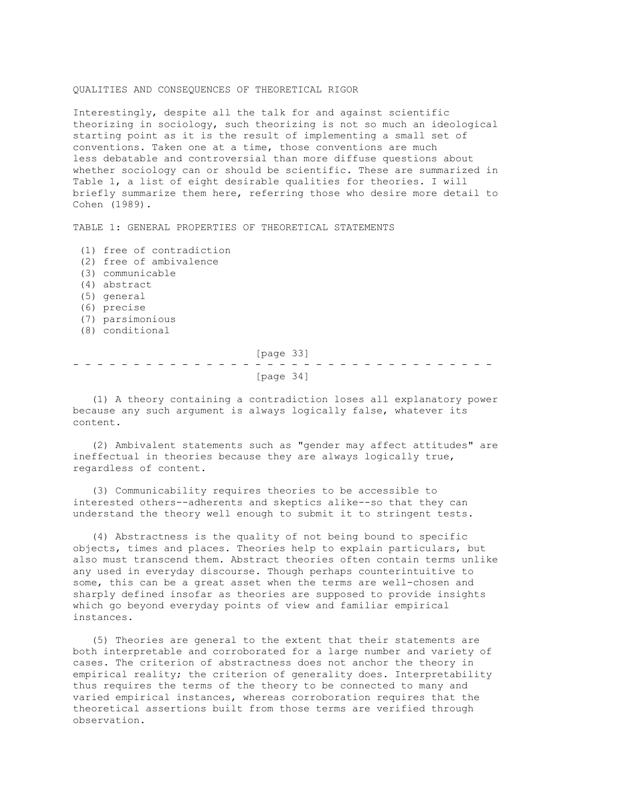## QUALITIES AND CONSEQUENCES OF THEORETICAL RIGOR

Interestingly, despite all the talk for and against scientific theorizing in sociology, such theorizing is not so much an ideological starting point as it is the result of implementing a small set of conventions. Taken one at a time, those conventions are much less debatable and controversial than more diffuse questions about whether sociology can or should be scientific. These are summarized in Table 1, a list of eight desirable qualities for theories. I will briefly summarize them here, referring those who desire more detail to Cohen (1989).

TABLE 1: GENERAL PROPERTIES OF THEORETICAL STATEMENTS

(1) free of contradiction

- (2) free of ambivalence
- (3) communicable
- (4) abstract
- (5) general
- (6) precise
- (7) parsimonious
- (8) conditional

 [page 33] - - - - - - - - - - - - - - - - - - - - - - - - - - - - - - - - - - - [page 34]

 (1) A theory containing a contradiction loses all explanatory power because any such argument is always logically false, whatever its content.

 (2) Ambivalent statements such as "gender may affect attitudes" are ineffectual in theories because they are always logically true, regardless of content.

 (3) Communicability requires theories to be accessible to interested others--adherents and skeptics alike--so that they can understand the theory well enough to submit it to stringent tests.

 (4) Abstractness is the quality of not being bound to specific objects, times and places. Theories help to explain particulars, but also must transcend them. Abstract theories often contain terms unlike any used in everyday discourse. Though perhaps counterintuitive to some, this can be a great asset when the terms are well-chosen and sharply defined insofar as theories are supposed to provide insights which go beyond everyday points of view and familiar empirical instances.

 (5) Theories are general to the extent that their statements are both interpretable and corroborated for a large number and variety of cases. The criterion of abstractness does not anchor the theory in empirical reality; the criterion of generality does. Interpretability thus requires the terms of the theory to be connected to many and varied empirical instances, whereas corroboration requires that the theoretical assertions built from those terms are verified through observation.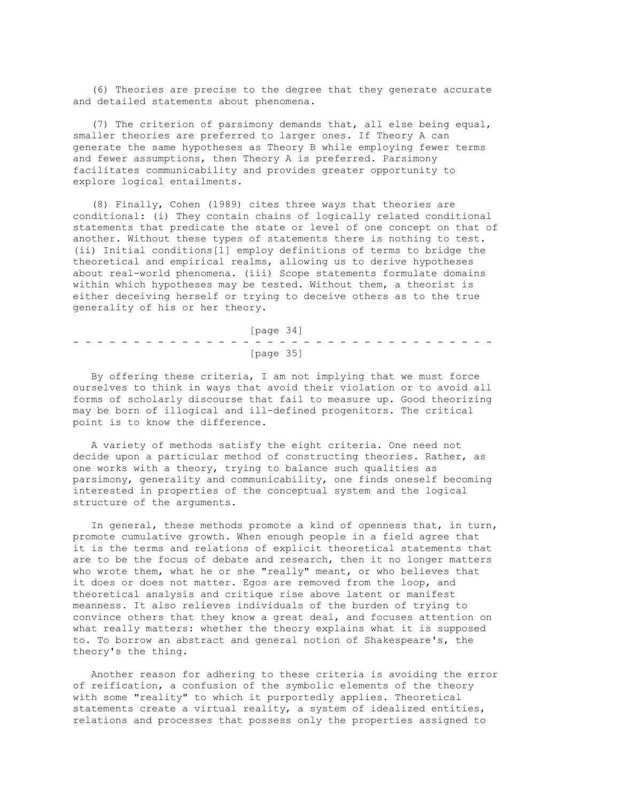(6) Theories are precise to the degree that they generate accurate and detailed statements about phenomena.

 (7) The criterion of parsimony demands that, all else being equal, smaller theories are preferred to larger ones. If Theory A can generate the same hypotheses as Theory B while employing fewer terms and fewer assumptions, then Theory A is preferred. Parsimony facilitates communicability and provides greater opportunity to explore logical entailments.

 (8) Finally, Cohen (1989) cites three ways that theories are conditional: (i) They contain chains of logically related conditional statements that predicate the state or level of one concept on that of another. Without these types of statements there is nothing to test. (ii) Initial conditions[1] employ definitions of terms to bridge the theoretical and empirical realms, allowing us to derive hypotheses about real-world phenomena. (iii) Scope statements formulate domains within which hypotheses may be tested. Without them, a theorist is either deceiving herself or trying to deceive others as to the true generality of his or her theory.

 [page 34] - - - - - - - - - - - - - - - - - - - - - - - - - - - - - - - - - - - [page 35]

 By offering these criteria, I am not implying that we must force ourselves to think in ways that avoid their violation or to avoid all forms of scholarly discourse that fail to measure up. Good theorizing may be born of illogical and ill-defined progenitors. The critical point is to know the difference.

 A variety of methods satisfy the eight criteria. One need not decide upon a particular method of constructing theories. Rather, as one works with a theory, trying to balance such qualities as parsimony, generality and communicability, one finds oneself becoming interested in properties of the conceptual system and the logical structure of the arguments.

 In general, these methods promote a kind of openness that, in turn, promote cumulative growth. When enough people in a field agree that it is the terms and relations of explicit theoretical statements that are to be the focus of debate and research, then it no longer matters who wrote them, what he or she "really" meant, or who believes that it does or does not matter. Egos are removed from the loop, and theoretical analysis and critique rise above latent or manifest meanness. It also relieves individuals of the burden of trying to convince others that they know a great deal, and focuses attention on what really matters: whether the theory explains what it is supposed to. To borrow an abstract and general notion of Shakespeare's, the theory's the thing.

 Another reason for adhering to these criteria is avoiding the error of reification, a confusion of the symbolic elements of the theory with some "reality" to which it purportedly applies. Theoretical statements create a virtual reality, a system of idealized entities, relations and processes that possess only the properties assigned to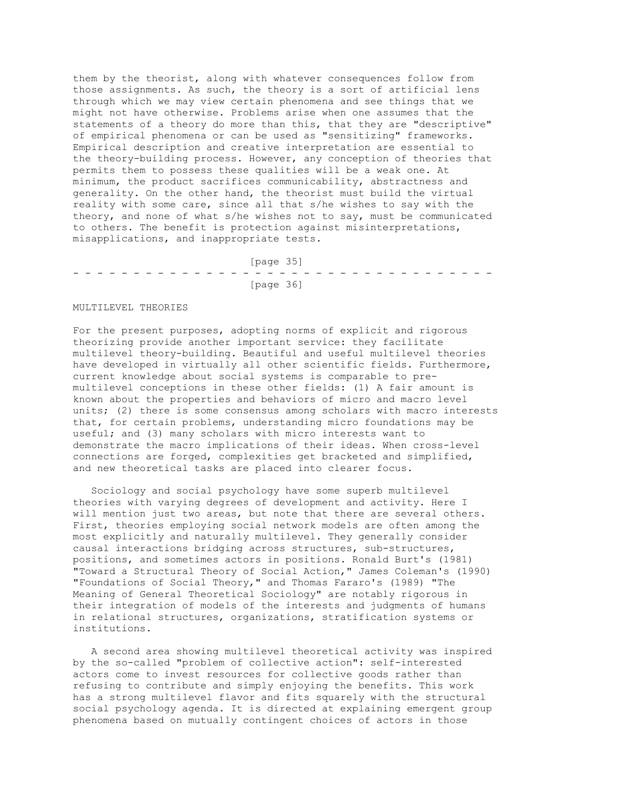them by the theorist, along with whatever consequences follow from those assignments. As such, the theory is a sort of artificial lens through which we may view certain phenomena and see things that we might not have otherwise. Problems arise when one assumes that the statements of a theory do more than this, that they are "descriptive" of empirical phenomena or can be used as "sensitizing" frameworks. Empirical description and creative interpretation are essential to the theory-building process. However, any conception of theories that permits them to possess these qualities will be a weak one. At minimum, the product sacrifices communicability, abstractness and generality. On the other hand, the theorist must build the virtual reality with some care, since all that s/he wishes to say with the theory, and none of what s/he wishes not to say, must be communicated to others. The benefit is protection against misinterpretations, misapplications, and inappropriate tests.

 [page 35] - - - - - - - - - - - - - - - - - - - - - - - - - - - - - - - - - - - [page 36]

#### MULTILEVEL THEORIES

For the present purposes, adopting norms of explicit and rigorous theorizing provide another important service: they facilitate multilevel theory-building. Beautiful and useful multilevel theories have developed in virtually all other scientific fields. Furthermore, current knowledge about social systems is comparable to premultilevel conceptions in these other fields: (1) A fair amount is known about the properties and behaviors of micro and macro level units; (2) there is some consensus among scholars with macro interests that, for certain problems, understanding micro foundations may be useful; and (3) many scholars with micro interests want to demonstrate the macro implications of their ideas. When cross-level connections are forged, complexities get bracketed and simplified, and new theoretical tasks are placed into clearer focus.

 Sociology and social psychology have some superb multilevel theories with varying degrees of development and activity. Here I will mention just two areas, but note that there are several others. First, theories employing social network models are often among the most explicitly and naturally multilevel. They generally consider causal interactions bridging across structures, sub-structures, positions, and sometimes actors in positions. Ronald Burt's (1981) "Toward a Structural Theory of Social Action," James Coleman's (1990) "Foundations of Social Theory," and Thomas Fararo's (1989) "The Meaning of General Theoretical Sociology" are notably rigorous in their integration of models of the interests and judgments of humans in relational structures, organizations, stratification systems or institutions.

 A second area showing multilevel theoretical activity was inspired by the so-called "problem of collective action": self-interested actors come to invest resources for collective goods rather than refusing to contribute and simply enjoying the benefits. This work has a strong multilevel flavor and fits squarely with the structural social psychology agenda. It is directed at explaining emergent group phenomena based on mutually contingent choices of actors in those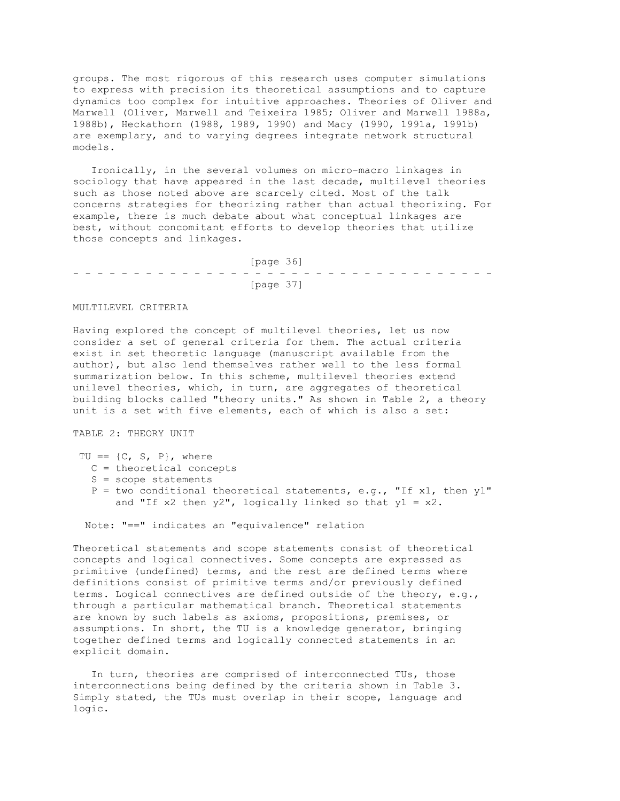groups. The most rigorous of this research uses computer simulations to express with precision its theoretical assumptions and to capture dynamics too complex for intuitive approaches. Theories of Oliver and Marwell (Oliver, Marwell and Teixeira 1985; Oliver and Marwell 1988a, 1988b), Heckathorn (1988, 1989, 1990) and Macy (1990, 1991a, 1991b) are exemplary, and to varying degrees integrate network structural models.

 Ironically, in the several volumes on micro-macro linkages in sociology that have appeared in the last decade, multilevel theories such as those noted above are scarcely cited. Most of the talk concerns strategies for theorizing rather than actual theorizing. For example, there is much debate about what conceptual linkages are best, without concomitant efforts to develop theories that utilize those concepts and linkages.

 [page 36] - - - - - - - - - - - - - - - - - - - - - - - - - - - - - - - - - - - [page 37]

### MULTILEVEL CRITERIA

Having explored the concept of multilevel theories, let us now consider a set of general criteria for them. The actual criteria exist in set theoretic language (manuscript available from the author), but also lend themselves rather well to the less formal summarization below. In this scheme, multilevel theories extend unilevel theories, which, in turn, are aggregates of theoretical building blocks called "theory units." As shown in Table 2, a theory unit is a set with five elements, each of which is also a set:

TABLE 2: THEORY UNIT

- TU ==  $\{C, S, P\}$ , where
	- C = theoretical concepts
	- S = scope statements
	- $P = two conditional theoretical statements, e.g., "If x1, then y1"$ and "If x2 then  $y2$ ", logically linked so that  $y1 = x2$ .

Note: "==" indicates an "equivalence" relation

Theoretical statements and scope statements consist of theoretical concepts and logical connectives. Some concepts are expressed as primitive (undefined) terms, and the rest are defined terms where definitions consist of primitive terms and/or previously defined terms. Logical connectives are defined outside of the theory, e.g., through a particular mathematical branch. Theoretical statements are known by such labels as axioms, propositions, premises, or assumptions. In short, the TU is a knowledge generator, bringing together defined terms and logically connected statements in an explicit domain.

 In turn, theories are comprised of interconnected TUs, those interconnections being defined by the criteria shown in Table 3. Simply stated, the TUs must overlap in their scope, language and logic.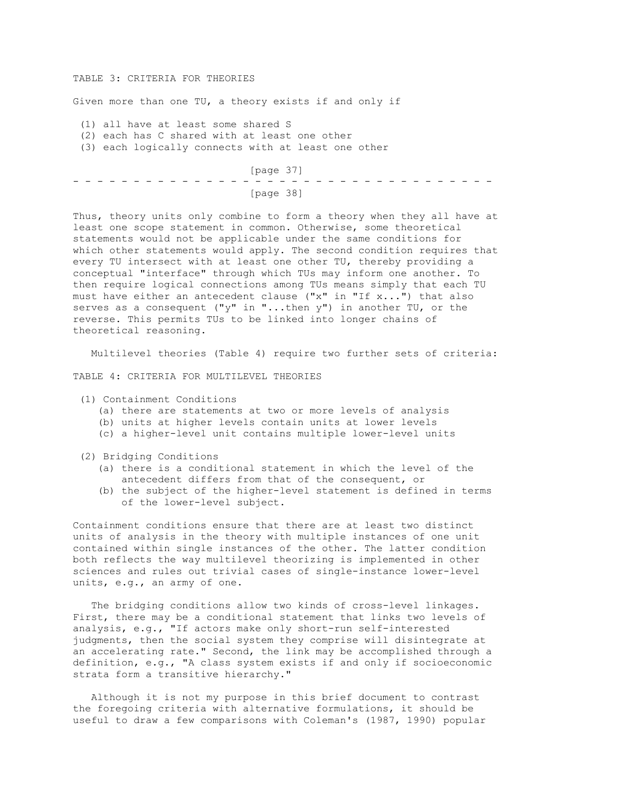#### TABLE 3: CRITERIA FOR THEORIES

Given more than one TU, a theory exists if and only if

(1) all have at least some shared S

(2) each has C shared with at least one other

(3) each logically connects with at least one other

 [page 37] - - - - - - - - - - - - - - - - - - - - - - - - - - - - - - - - - - - [page 38]

Thus, theory units only combine to form a theory when they all have at least one scope statement in common. Otherwise, some theoretical statements would not be applicable under the same conditions for which other statements would apply. The second condition requires that every TU intersect with at least one other TU, thereby providing a conceptual "interface" through which TUs may inform one another. To then require logical connections among TUs means simply that each TU must have either an antecedent clause ("x" in "If x...") that also serves as a consequent ("y" in "...then y") in another TU, or the reverse. This permits TUs to be linked into longer chains of theoretical reasoning.

Multilevel theories (Table 4) require two further sets of criteria:

TABLE 4: CRITERIA FOR MULTILEVEL THEORIES

- (1) Containment Conditions
	- (a) there are statements at two or more levels of analysis
	- (b) units at higher levels contain units at lower levels
	- (c) a higher-level unit contains multiple lower-level units
- (2) Bridging Conditions
	- (a) there is a conditional statement in which the level of the antecedent differs from that of the consequent, or
	- (b) the subject of the higher-level statement is defined in terms of the lower-level subject.

Containment conditions ensure that there are at least two distinct units of analysis in the theory with multiple instances of one unit contained within single instances of the other. The latter condition both reflects the way multilevel theorizing is implemented in other sciences and rules out trivial cases of single-instance lower-level units, e.g., an army of one.

 The bridging conditions allow two kinds of cross-level linkages. First, there may be a conditional statement that links two levels of analysis, e.g., "If actors make only short-run self-interested judgments, then the social system they comprise will disintegrate at an accelerating rate." Second, the link may be accomplished through a definition, e.g., "A class system exists if and only if socioeconomic strata form a transitive hierarchy."

 Although it is not my purpose in this brief document to contrast the foregoing criteria with alternative formulations, it should be useful to draw a few comparisons with Coleman's (1987, 1990) popular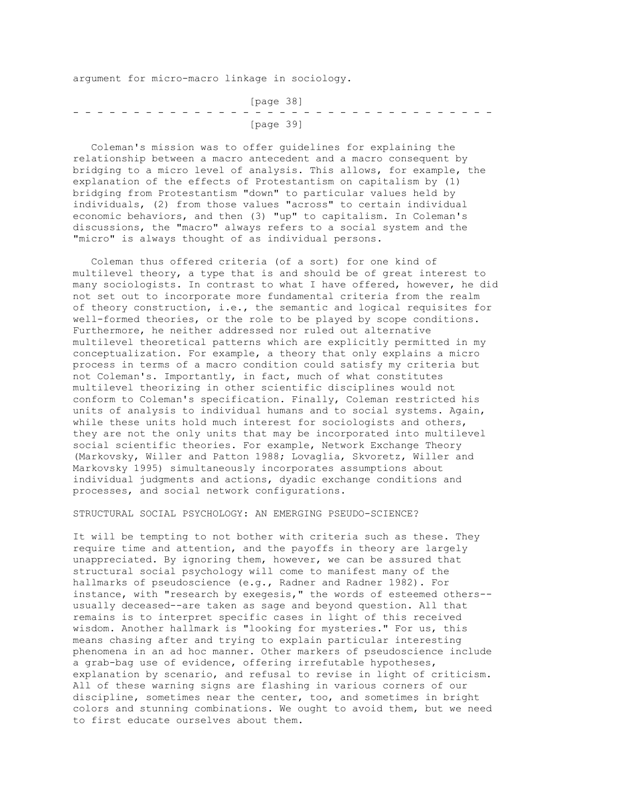argument for micro-macro linkage in sociology.

 [page 38] - - - - - - - - - - - - - - - - - - - - - - - - - - - - - - - - - - - [page 39]

 Coleman's mission was to offer guidelines for explaining the relationship between a macro antecedent and a macro consequent by bridging to a micro level of analysis. This allows, for example, the explanation of the effects of Protestantism on capitalism by (1) bridging from Protestantism "down" to particular values held by individuals, (2) from those values "across" to certain individual economic behaviors, and then (3) "up" to capitalism. In Coleman's discussions, the "macro" always refers to a social system and the "micro" is always thought of as individual persons.

 Coleman thus offered criteria (of a sort) for one kind of multilevel theory, a type that is and should be of great interest to many sociologists. In contrast to what I have offered, however, he did not set out to incorporate more fundamental criteria from the realm of theory construction, i.e., the semantic and logical requisites for well-formed theories, or the role to be played by scope conditions. Furthermore, he neither addressed nor ruled out alternative multilevel theoretical patterns which are explicitly permitted in my conceptualization. For example, a theory that only explains a micro process in terms of a macro condition could satisfy my criteria but not Coleman's. Importantly, in fact, much of what constitutes multilevel theorizing in other scientific disciplines would not conform to Coleman's specification. Finally, Coleman restricted his units of analysis to individual humans and to social systems. Again, while these units hold much interest for sociologists and others, they are not the only units that may be incorporated into multilevel social scientific theories. For example, Network Exchange Theory (Markovsky, Willer and Patton 1988; Lovaglia, Skvoretz, Willer and Markovsky 1995) simultaneously incorporates assumptions about individual judgments and actions, dyadic exchange conditions and processes, and social network configurations.

STRUCTURAL SOCIAL PSYCHOLOGY: AN EMERGING PSEUDO-SCIENCE?

It will be tempting to not bother with criteria such as these. They require time and attention, and the payoffs in theory are largely unappreciated. By ignoring them, however, we can be assured that structural social psychology will come to manifest many of the hallmarks of pseudoscience (e.g., Radner and Radner 1982). For instance, with "research by exegesis," the words of esteemed others- usually deceased--are taken as sage and beyond question. All that remains is to interpret specific cases in light of this received wisdom. Another hallmark is "looking for mysteries." For us, this means chasing after and trying to explain particular interesting phenomena in an ad hoc manner. Other markers of pseudoscience include a grab-bag use of evidence, offering irrefutable hypotheses, explanation by scenario, and refusal to revise in light of criticism. All of these warning signs are flashing in various corners of our discipline, sometimes near the center, too, and sometimes in bright colors and stunning combinations. We ought to avoid them, but we need to first educate ourselves about them.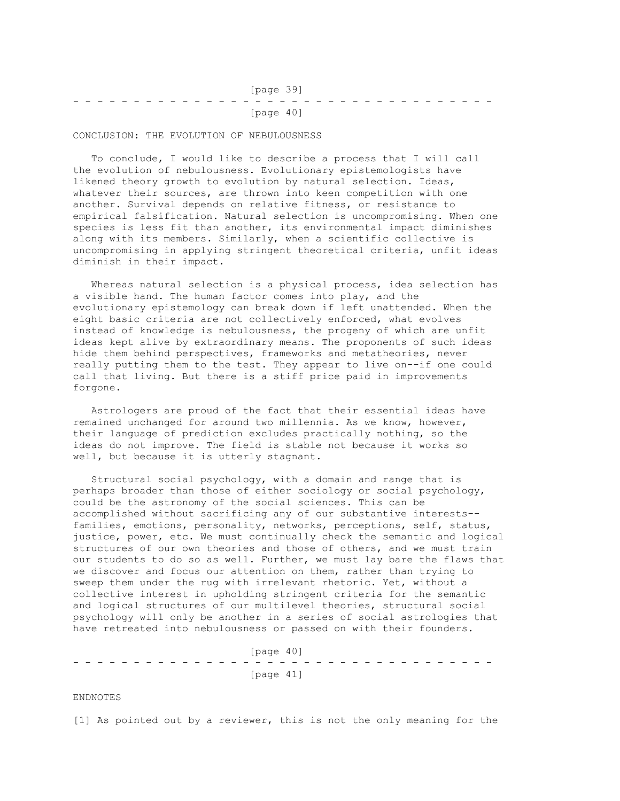| [page 39] |  |  |  |  |  |  |  |  |  |  |  |  |  |  |           |  |  |  |  |  |  |  |
|-----------|--|--|--|--|--|--|--|--|--|--|--|--|--|--|-----------|--|--|--|--|--|--|--|
|           |  |  |  |  |  |  |  |  |  |  |  |  |  |  |           |  |  |  |  |  |  |  |
|           |  |  |  |  |  |  |  |  |  |  |  |  |  |  | [page 40] |  |  |  |  |  |  |  |

CONCLUSION: THE EVOLUTION OF NEBULOUSNESS

 To conclude, I would like to describe a process that I will call the evolution of nebulousness. Evolutionary epistemologists have likened theory growth to evolution by natural selection. Ideas, whatever their sources, are thrown into keen competition with one another. Survival depends on relative fitness, or resistance to empirical falsification. Natural selection is uncompromising. When one species is less fit than another, its environmental impact diminishes along with its members. Similarly, when a scientific collective is uncompromising in applying stringent theoretical criteria, unfit ideas diminish in their impact.

 Whereas natural selection is a physical process, idea selection has a visible hand. The human factor comes into play, and the evolutionary epistemology can break down if left unattended. When the eight basic criteria are not collectively enforced, what evolves instead of knowledge is nebulousness, the progeny of which are unfit ideas kept alive by extraordinary means. The proponents of such ideas hide them behind perspectives, frameworks and metatheories, never really putting them to the test. They appear to live on--if one could call that living. But there is a stiff price paid in improvements forgone.

 Astrologers are proud of the fact that their essential ideas have remained unchanged for around two millennia. As we know, however, their language of prediction excludes practically nothing, so the ideas do not improve. The field is stable not because it works so well, but because it is utterly stagnant.

 Structural social psychology, with a domain and range that is perhaps broader than those of either sociology or social psychology, could be the astronomy of the social sciences. This can be accomplished without sacrificing any of our substantive interests- families, emotions, personality, networks, perceptions, self, status, justice, power, etc. We must continually check the semantic and logical structures of our own theories and those of others, and we must train our students to do so as well. Further, we must lay bare the flaws that we discover and focus our attention on them, rather than trying to sweep them under the rug with irrelevant rhetoric. Yet, without a collective interest in upholding stringent criteria for the semantic and logical structures of our multilevel theories, structural social psychology will only be another in a series of social astrologies that have retreated into nebulousness or passed on with their founders.

 [page 40] - - - - - - - - - - - - - - - - - - - - - - - - - - - - - - - - - - - [page 41]

ENDNOTES

[1] As pointed out by a reviewer, this is not the only meaning for the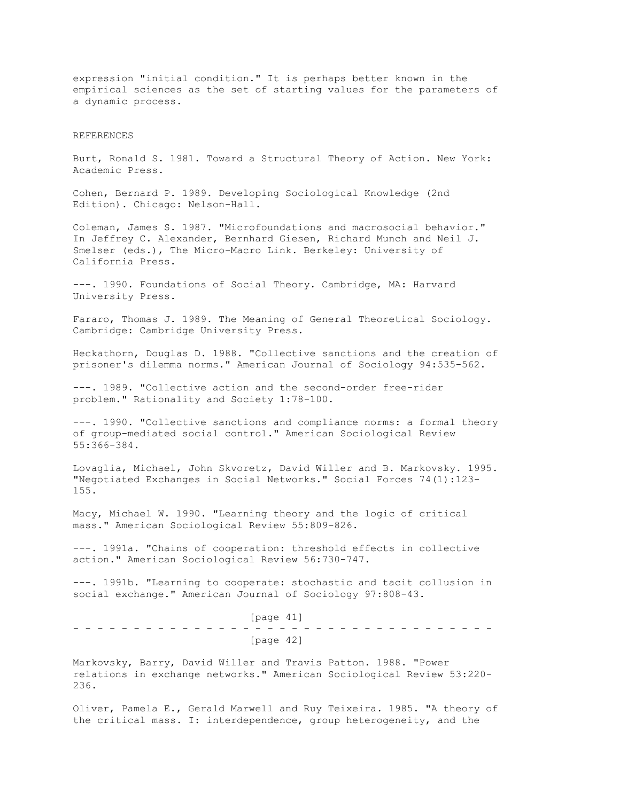expression "initial condition." It is perhaps better known in the empirical sciences as the set of starting values for the parameters of a dynamic process.

#### REFERENCES

Burt, Ronald S. 1981. Toward a Structural Theory of Action. New York: Academic Press.

Cohen, Bernard P. 1989. Developing Sociological Knowledge (2nd Edition). Chicago: Nelson-Hall.

Coleman, James S. 1987. "Microfoundations and macrosocial behavior." In Jeffrey C. Alexander, Bernhard Giesen, Richard Munch and Neil J. Smelser (eds.), The Micro-Macro Link. Berkeley: University of California Press.

---. 1990. Foundations of Social Theory. Cambridge, MA: Harvard University Press.

Fararo, Thomas J. 1989. The Meaning of General Theoretical Sociology. Cambridge: Cambridge University Press.

Heckathorn, Douglas D. 1988. "Collective sanctions and the creation of prisoner's dilemma norms." American Journal of Sociology 94:535-562.

---. 1989. "Collective action and the second-order free-rider problem." Rationality and Society 1:78-100.

---. 1990. "Collective sanctions and compliance norms: a formal theory of group-mediated social control." American Sociological Review 55:366-384.

Lovaglia, Michael, John Skvoretz, David Willer and B. Markovsky. 1995. "Negotiated Exchanges in Social Networks." Social Forces 74(1):123- 155.

Macy, Michael W. 1990. "Learning theory and the logic of critical mass." American Sociological Review 55:809-826.

---. 1991a. "Chains of cooperation: threshold effects in collective action." American Sociological Review 56:730-747.

---. 1991b. "Learning to cooperate: stochastic and tacit collusion in social exchange." American Journal of Sociology 97:808-43.

 [page 41] - - - - - - - - - - - - - - - - - - - - - - - - - - - - - - - - - - - [page 42]

Markovsky, Barry, David Willer and Travis Patton. 1988. "Power relations in exchange networks." American Sociological Review 53:220- 236.

Oliver, Pamela E., Gerald Marwell and Ruy Teixeira. 1985. "A theory of the critical mass. I: interdependence, group heterogeneity, and the